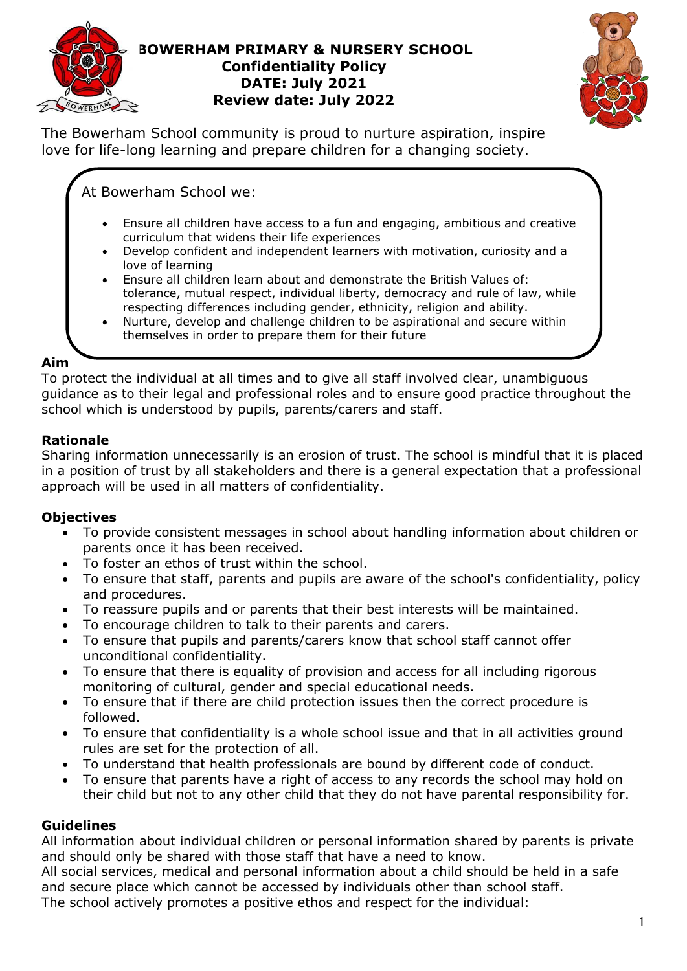



The Bowerham School community is proud to nurture aspiration, inspire love for life-long learning and prepare children for a changing society.

At Bowerham School we:

- Ensure all children have access to a fun and engaging, ambitious and creative curriculum that widens their life experiences
- Develop confident and independent learners with motivation, curiosity and a love of learning
- Ensure all children learn about and demonstrate the British Values of: tolerance, mutual respect, individual liberty, democracy and rule of law, while respecting differences including gender, ethnicity, religion and ability.
- Nurture, develop and challenge children to be aspirational and secure within themselves in order to prepare them for their future

# **Aim**

To protect the individual at all times and to give all [staff](http://www.harrison.hants.sch.uk/staff.php) involved clear, unambiguous guidance as to their legal and professional roles and to ensure good practice throughout the school which is understood by pupils, parents/carers and staff.

# **Rationale**

Sharing information unnecessarily is an erosion of trust. The school is mindful that it is placed in a position of trust by all stakeholders and there is a general expectation that a professional approach will be used in all matters of confidentiality.

# **Objectives**

- To provide consistent messages in school about handling information about children or parents once it has been received.
- To foster an ethos of trust within the school.
- To ensure that staff, parents and pupils are aware of the school's confidentiality, policy and procedures.
- To reassure pupils and or parents that their best interests will be maintained.
- To encourage children to talk to their parents and carers.
- To ensure that pupils and parents/carers know that school staff cannot offer unconditional confidentiality.
- To ensure that there is equality of provision and access for all including rigorous monitoring of cultural, gender and special educational needs.
- To ensure that if there are child protection issues then the correct procedure is followed.
- To ensure that confidentiality is a whole school issue and that in all activities ground rules are set for the protection of all.
- To understand that health professionals are bound by different code of conduct.
- To ensure that parents have a right of access to any records the school may hold on their child but not to any other child that they do not have parental responsibility for.

# **Guidelines**

All information about individual children or personal information shared by parents is private and should only be shared with those staff that have a need to know.

All social services, medical and personal information about a child should be held in a safe and secure place which cannot be accessed by individuals other than school staff. The school actively promotes a positive ethos and respect for the individual: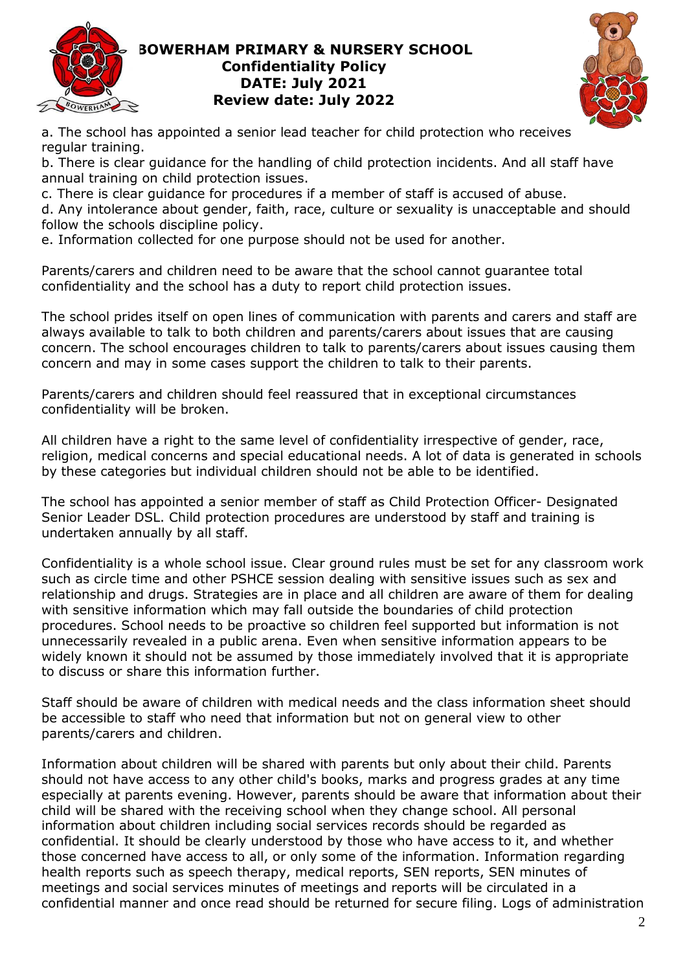



a. The school has appointed a senior lead teacher for child protection who receives regular training.

b. There is clear guidance for the handling of child protection incidents. And all staff have annual training on child protection issues.

c. There is clear guidance for procedures if a member of staff is accused of abuse.

d. Any intolerance about gender, faith, race, culture or sexuality is unacceptable and should follow the schools discipline policy.

e. Information collected for one purpose should not be used for another.

Parents/carers and children need to be aware that the school cannot guarantee total confidentiality and the school has a duty to report child protection issues.

The school prides itself on open lines of communication with parents and carers and staff are always available to talk to both children and parents/carers about issues that are causing concern. The school encourages children to talk to parents/carers about issues causing them concern and may in some cases support the children to talk to their parents.

Parents/carers and children should feel reassured that in exceptional circumstances confidentiality will be broken.

All children have a right to the same level of confidentiality irrespective of gender, race, religion, medical concerns and special educational needs. A lot of data is generated in schools by these categories but individual children should not be able to be identified.

The school has appointed a senior member of staff as Child Protection Officer- Designated Senior Leader DSL. Child protection procedures are understood by staff and training is undertaken annually by all staff.

Confidentiality is a whole school issue. Clear ground rules must be set for any classroom work such as circle time and other [PSHCE](http://www.harrison.hants.sch.uk/pshce.php) session dealing with sensitive issues such as sex and relationship and drugs. Strategies are in place and all children are aware of them for dealing with sensitive information which may fall outside the boundaries of child protection procedures. School needs to be proactive so children feel supported but information is not unnecessarily revealed in a public arena. Even when sensitive information appears to be widely known it should not be assumed by those immediately involved that it is appropriate to discuss or share this information further.

Staff should be aware of children with medical needs and the class information sheet should be accessible to staff who need that information but not on general view to other parents/carers and children.

Information about children will be shared with parents but only about their child. Parents should not have access to any other child's books, marks and progress grades at any time especially at parents evening. However, parents should be aware that information about their child will be shared with the receiving school when they change school. All personal information about children including social services records should be regarded as confidential. It should be clearly understood by those who have access to it, and whether those concerned have access to all, or only some of the information. Information regarding health reports such as speech therapy, medical reports, [SEN](http://www.harrison.hants.sch.uk/sen_policy.php) reports, SEN minutes of meetings and social services minutes of meetings and reports will be circulated in a confidential manner and once read should be returned for secure filing. Logs of administration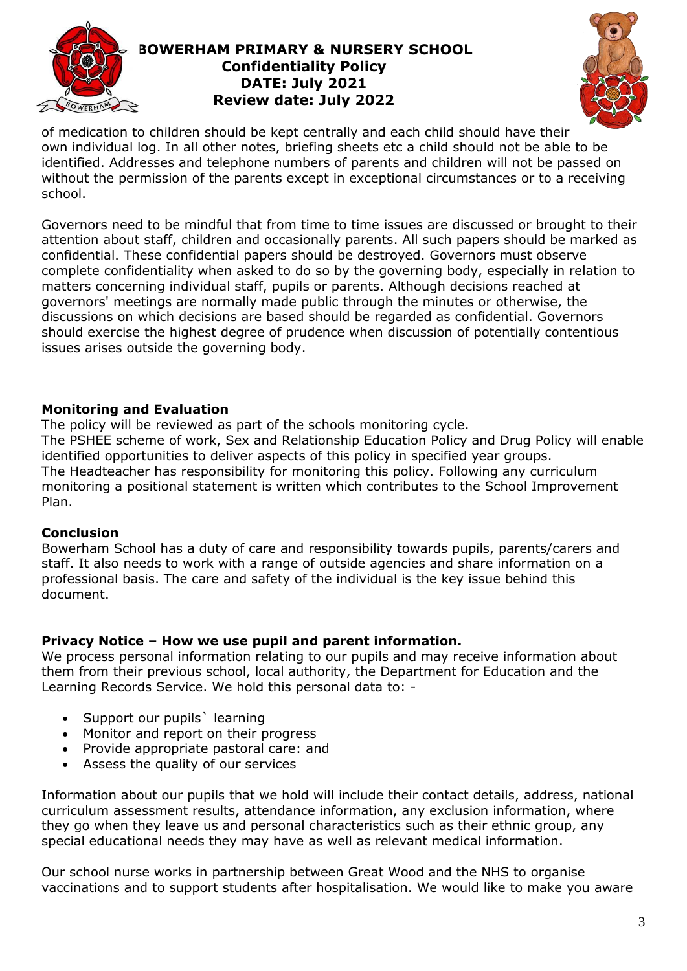



of medication to children should be kept centrally and each child should have their own individual log. In all other notes, briefing sheets etc a child should not be able to be identified. Addresses and telephone numbers of parents and children will not be passed on without the permission of the parents except in exceptional circumstances or to a receiving school.

[Governors](http://www.harrison.hants.sch.uk/governors.php) need to be mindful that from time to time issues are discussed or brought to their attention about staff, children and occasionally parents. All such papers should be marked as confidential. These confidential papers should be destroyed. Governors must observe complete confidentiality when asked to do so by the governing body, especially in relation to matters concerning individual staff, pupils or parents. Although decisions reached at governors' meetings are normally made public through the minutes or otherwise, the discussions on which decisions are based should be regarded as confidential. Governors should exercise the highest degree of prudence when discussion of potentially contentious issues arises outside the governing body.

### **Monitoring and Evaluation**

The policy will be reviewed as part of the schools monitoring cycle. The [PSHEE](http://www.harrison.hants.sch.uk/pshce.php) scheme of work, Sex and Relationship Education Policy and Drug Policy will enable identified opportunities to deliver aspects of this policy in specified year groups. The [Headteacher](http://www.harrison.hants.sch.uk/head_teacher.php) has responsibility for monitoring this policy. Following any curriculum monitoring a positional statement is written which contributes to the School Improvement Plan.

#### **Conclusion**

Bowerham School has a duty of care and responsibility towards pupils, parents/carers and staff. It also needs to work with a range of outside agencies and share information on a professional basis. The care and safety of the individual is the key issue behind this document.

### **Privacy Notice – How we use pupil and parent information.**

We process personal information relating to our pupils and may receive information about them from their previous school, local authority, the Department for Education and the Learning Records Service. We hold this personal data to: -

- Support our pupils` learning
- Monitor and report on their progress
- Provide appropriate pastoral care: and
- Assess the quality of our services

Information about our pupils that we hold will include their contact details, address, national curriculum assessment results, attendance information, any exclusion information, where they go when they leave us and personal characteristics such as their ethnic group, any special educational needs they may have as well as relevant medical information.

Our school nurse works in partnership between Great Wood and the NHS to organise vaccinations and to support students after hospitalisation. We would like to make you aware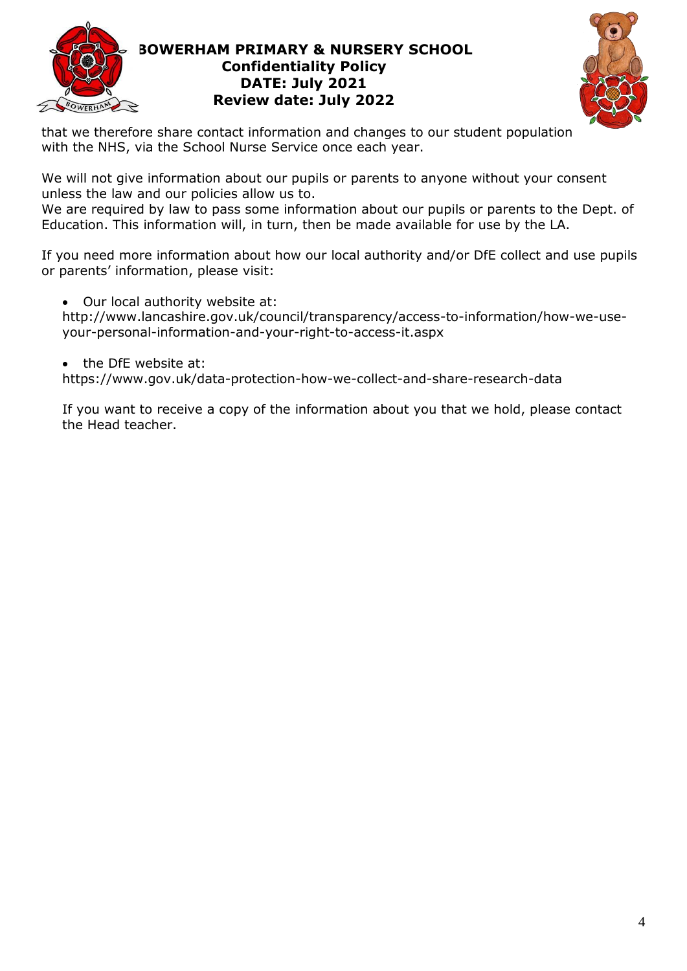



that we therefore share contact information and changes to our student population with the NHS, via the School Nurse Service once each year.

We will not give information about our pupils or parents to anyone without your consent unless the law and our policies allow us to.

We are required by law to pass some information about our pupils or parents to the Dept. of Education. This information will, in turn, then be made available for use by the LA.

If you need more information about how our local authority and/or DfE collect and use pupils or parents' information, please visit:

Our local authority website at:

[http://www.lancashire.gov.uk/council/transparency/access-to-information/how-we-use](http://www.lancashire.gov.uk/council/transparency/access-to-information/how-we-use-your-personal-information-and-your-right-to-access-it.aspx)[your-personal-information-and-your-right-to-access-it.aspx](http://www.lancashire.gov.uk/council/transparency/access-to-information/how-we-use-your-personal-information-and-your-right-to-access-it.aspx)

the DfE website at:

<https://www.gov.uk/data-protection-how-we-collect-and-share-research-data>

If you want to receive a copy of the information about you that we hold, please contact the Head teacher.